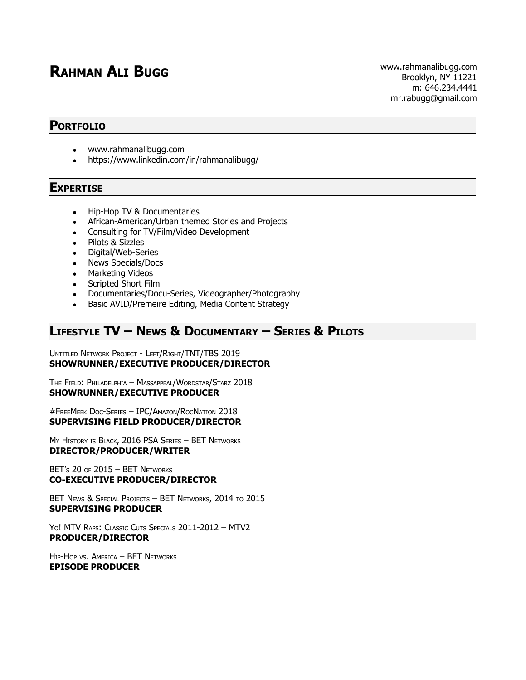# **RAHMAN ALI BUGG** www.rahmanalibugg.com

#### **PORTFOLIO**

- www.rahmanalibugg.com
- https://www.linkedin.com/in/rahmanalibugg/

#### **EXPERTISE**

- Hip-Hop TV & Documentaries
- African-American/Urban themed Stories and Projects
- Consulting for TV/Film/Video Development
- Pilots & Sizzles
- Digital/Web-Series
- News Specials/Docs
- Marketing Videos
- Scripted Short Film
- Documentaries/Docu-Series, Videographer/Photography
- Basic AVID/Premeire Editing, Media Content Strategy

# **LIFESTYLE TV – NEWS & DOCUMENTARY – SERIES & PILOTS**

UNTITLED NETWORK PROJECT - LEFT/RIGHT/TNT/TBS 2019 **SHOWRUNNER/EXECUTIVE PRODUCER/DIRECTOR**

THE FIELD: PHILADELPHIA – MASSAPPEAL/WORDSTAR/STARZ 2018 **SHOWRUNNER/EXECUTIVE PRODUCER**

#FREEMEEK DOC-SERIES – IPC/AMAZON/ROCNATION 2018 **SUPERVISING FIELD PRODUCER/DIRECTOR**

M<sup>Y</sup> HISTORY IS BLACK, 2016 PSA SERIES – BET NETWORKS **DIRECTOR/PRODUCER/WRITER**

BET's  $20$  of  $2015 -$  BET NETWORKS **CO-EXECUTIVE PRODUCER/DIRECTOR**

BET NEWS & SPECIAL PROJECTS - BET NETWORKS, 2014 TO 2015 **SUPERVISING PRODUCER**

YO! MTV RAPS: CLASSIC CUTS SPECIALS 2011-2012 – MTV2 **PRODUCER/DIRECTOR**

HIP-HOP VS. AMERICA – BET NETWORKS **EPISODE PRODUCER**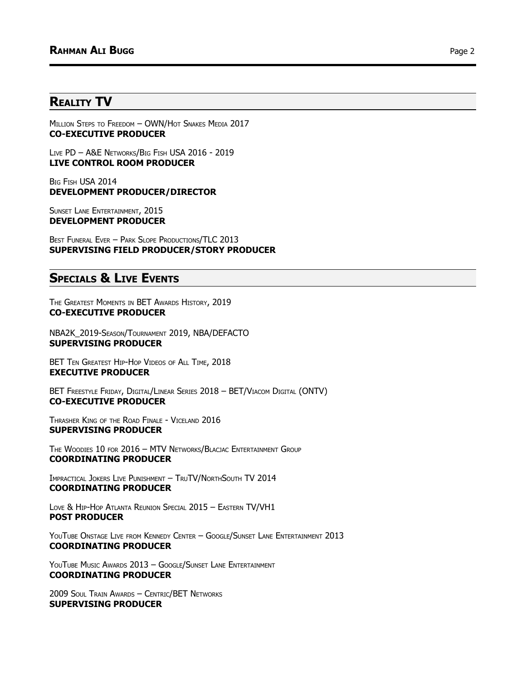## **REALITY TV**

MILLION STEPS TO FREEDOM - OWN/HOT SNAKES MEDIA 2017 **CO-EXECUTIVE PRODUCER**

LIVE PD – A&E NETWORKS/BIG FISH USA 2016 - 2019 **LIVE CONTROL ROOM PRODUCER**

BIG FISH USA 2014 **DEVELOPMENT PRODUCER/DIRECTOR**

SUNSET LANE ENTERTAINMENT, 2015 **DEVELOPMENT PRODUCER**

BEST FUNERAL EVER – PARK SLOPE PRODUCTIONS/TLC 2013 **SUPERVISING FIELD PRODUCER/STORY PRODUCER**

# **SPECIALS & LIVE EVENTS**

THE GREATEST MOMENTS IN BET AWARDS HISTORY, 2019 **CO-EXECUTIVE PRODUCER**

NBA2K\_2019-SEASON/TOURNAMENT 2019, NBA/DEFACTO **SUPERVISING PRODUCER**

BET TEN GREATEST HIP-HOP VIDEOS OF ALL TIME, 2018 **EXECUTIVE PRODUCER**

BET FREESTYLE FRIDAY, DIGITAL/LINEAR SERIES 2018 – BET/VIACOM DIGITAL (ONTV) **CO-EXECUTIVE PRODUCER**

THRASHER KING OF THE ROAD FINALE - VICELAND 2016 **SUPERVISING PRODUCER**

THE WOODIES 10 FOR 2016 – MTV NETWORKS/BLACJAC ENTERTAINMENT GROUP **COORDINATING PRODUCER**

IMPRACTICAL JOKERS LIVE PUNISHMENT – TRUTV/NORTHSOUTH TV 2014 **COORDINATING PRODUCER**

LOVE & HIP-HOP ATLANTA REUNION SPECIAL 2015 – EASTERN TV/VH1 **POST PRODUCER**

YOUTUBE ONSTAGE LIVE FROM KENNEDY CENTER - GOOGLE/SUNSET LANE ENTERTAINMENT 2013 **COORDINATING PRODUCER**

YOUTUBE MUSIC AWARDS 2013 - GOOGLE/SUNSET LANE ENTERTAINMENT **COORDINATING PRODUCER**

2009 SOUL TRAIN AWARDS – CENTRIC/BET NETWORKS **SUPERVISING PRODUCER**